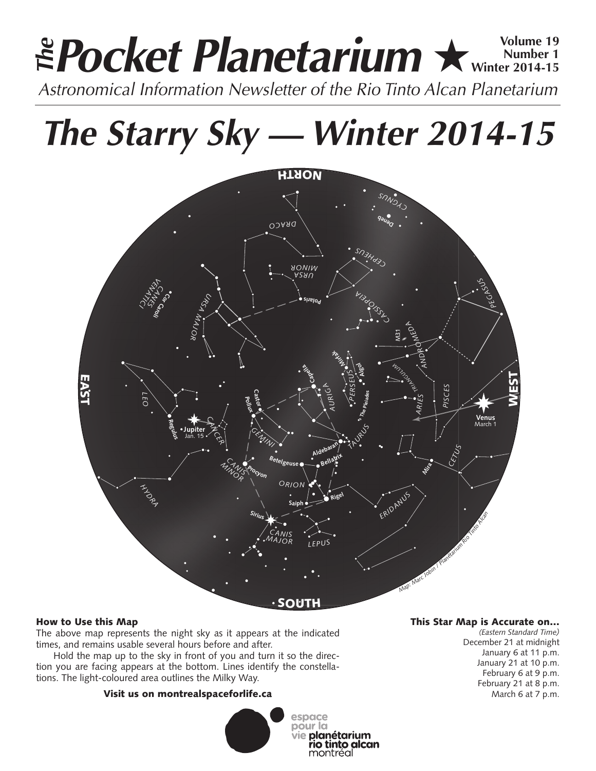# **Pocket Planetarium ★** Wolume 19 **Number 1 Winter 2014-15 EPocket Planetarium**  $\star$  Number 19<br>Astronomical Information Newsletter of the Rio Tinto Alcan Planetarium

# **The Starry Sky — Winter 2014-15**



# How to Use this Map

The above map represents the night sky as it appears at the indicated times, and remains usable several hours before and after.

Hold the map up to the sky in front of you and turn it so the direction you are facing appears at the bottom. Lines identify the constellations. The light-coloured area outlines the Milky Way.

# Visit us on montrealspaceforlife.ca



### This Star Map is Accurate on…

*(Eastern Standard Time)* December 21 at midnight January 6 at 11 p.m. January 21 at 10 p.m. February 6 at 9 p.m. February 21 at 8 p.m. March 6 at 7 p.m.